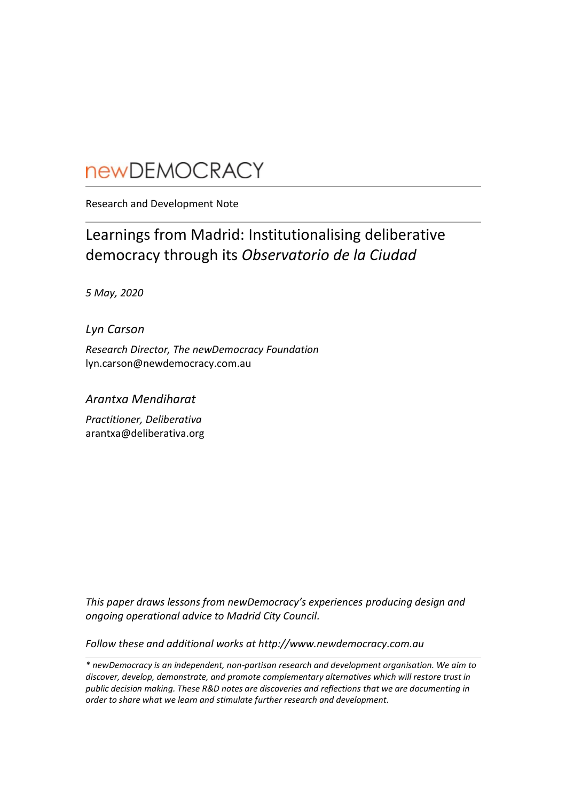# **newDEMOCRACY**

Research and Development Note

## Learnings from Madrid: Institutionalising deliberative democracy through its *Observatorio de la Ciudad*

*5 May, 2020*

*Lyn Carson*

*Research Director, The newDemocracy Foundation* lyn.carson@newdemocracy.com.au

### *Arantxa Mendiharat*

*Practitioner, Deliberativa* arantxa@deliberativa.org

*This paper draws lessons from newDemocracy's experiences producing design and ongoing operational advice to Madrid City Council.*

*Follow these and additional works at http://www.newdemocracy.com.au*

*\* newDemocracy is an independent, non-partisan research and development organisation. We aim to discover, develop, demonstrate, and promote complementary alternatives which will restore trust in public decision making. These R&D notes are discoveries and reflections that we are documenting in order to share what we learn and stimulate further research and development.*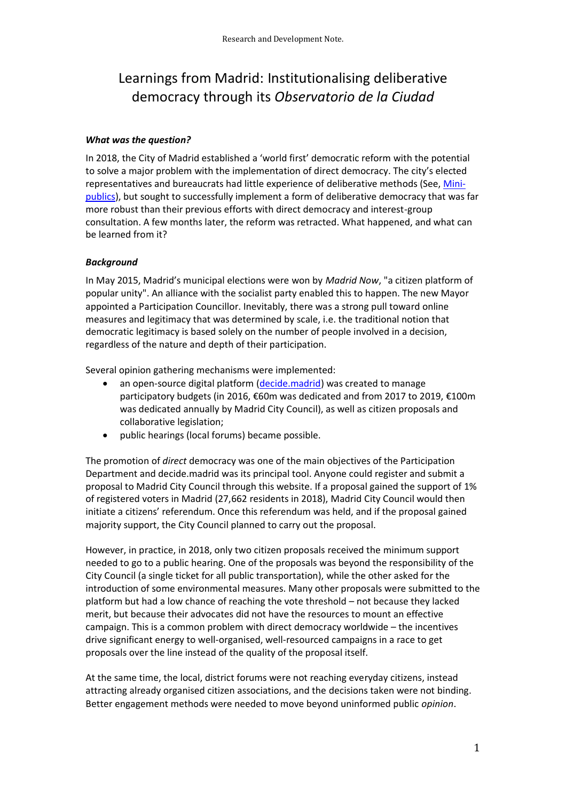### Learnings from Madrid: Institutionalising deliberative democracy through its *Observatorio de la Ciudad*

#### *What was the question?*

In 2018, the City of Madrid established a 'world first' democratic reform with the potential to solve a major problem with the implementation of direct democracy. The city's elected representatives and bureaucrats had little experience of deliberative methods (See, [Mini](https://newdemocracy.com.au/wp-content/uploads/2017/05/docs_researchnotes_2017_May_nDF_RN_20170508_FormsOfMiniPublics.pdf)[publics\)](https://newdemocracy.com.au/wp-content/uploads/2017/05/docs_researchnotes_2017_May_nDF_RN_20170508_FormsOfMiniPublics.pdf), but sought to successfully implement a form of deliberative democracy that was far more robust than their previous efforts with direct democracy and interest-group consultation. A few months later, the reform was retracted. What happened, and what can be learned from it?

#### *Background*

In May 2015, Madrid's municipal elections were won by *Madrid Now*, "a citizen platform of popular unity". An alliance with the socialist party enabled this to happen. The new Mayor appointed a Participation Councillor. Inevitably, there was a strong pull toward online measures and legitimacy that was determined by scale, i.e. the traditional notion that democratic legitimacy is based solely on the number of people involved in a decision, regardless of the nature and depth of their participation.

Several opinion gathering mechanisms were implemented:

- an open-source digital platform [\(decide.madrid\)](https://decide.madrid.es/) was created to manage participatory budgets (in 2016, €60m was dedicated and from 2017 to 2019, €100m was dedicated annually by Madrid City Council), as well as citizen proposals and collaborative legislation;
- public hearings (local forums) became possible.

The promotion of *direct* democracy was one of the main objectives of the Participation Department and decide.madrid was its principal tool. Anyone could register and submit a proposal to Madrid City Council through this website. If a proposal gained the support of 1% of registered voters in Madrid (27,662 residents in 2018), Madrid City Council would then initiate a citizens' referendum. Once this referendum was held, and if the proposal gained majority support, the City Council planned to carry out the proposal.

However, in practice, in 2018, only two citizen proposals received the minimum support needed to go to a public hearing. One of the proposals was beyond the responsibility of the City Council (a single ticket for all public transportation), while the other asked for the introduction of some environmental measures. Many other proposals were submitted to the platform but had a low chance of reaching the vote threshold – not because they lacked merit, but because their advocates did not have the resources to mount an effective campaign. This is a common problem with direct democracy worldwide – the incentives drive significant energy to well-organised, well-resourced campaigns in a race to get proposals over the line instead of the quality of the proposal itself.

At the same time, the local, district forums were not reaching everyday citizens, instead attracting already organised citizen associations, and the decisions taken were not binding. Better engagement methods were needed to move beyond uninformed public *opinion*.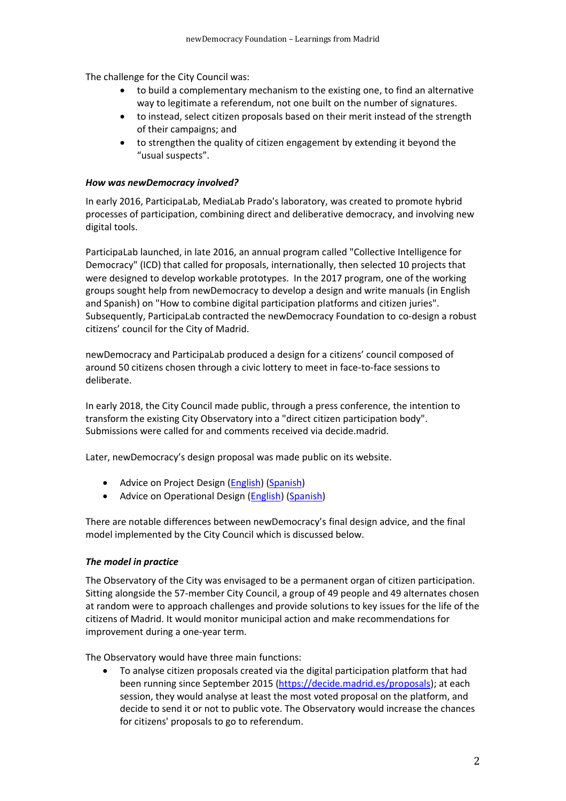The challenge for the City Council was:

- to build a complementary mechanism to the existing one, to find an alternative way to legitimate a referendum, not one built on the number of signatures.
- to instead, select citizen proposals based on their merit instead of the strength of their campaigns; and
- to strengthen the quality of citizen engagement by extending it beyond the "usual suspects".

#### *How was newDemocracy involved?*

In early 2016, ParticipaLab, MediaLab Prado's laboratory, was created to promote hybrid processes of participation, combining direct and deliberative democracy, and involving new digital tools.

ParticipaLab launched, in late 2016, an annual program called "Collective Intelligence for Democracy" (ICD) that called for proposals, internationally, then selected 10 projects that were designed to develop workable prototypes. In the 2017 program, one of the working groups sought help from newDemocracy to develop a design and write manuals (in English and Spanish) on "How to combine digital participation platforms and citizen juries". Subsequently, ParticipaLab contracted the newDemocracy Foundation to co-design a robust citizens' council for the City of Madrid.

newDemocracy and ParticipaLab produced a design for a citizens' council composed of around 50 citizens chosen through a civic lottery to meet in face-to-face sessions to deliberate.

In early 2018, the City Council made public, through a press conference, the intention to transform the existing City Observatory into a "direct citizen participation body". Submissions were called for and comments received via decide.madrid.

Later, newDemocracy's design proposal was made public on its website.

- Advice on Project Design [\(English\)](newDemocracy’s%20%09Advice%20on%20Project%20Design%20–%20English) [\(Spanish\)](https://www.newdemocracy.com.au/wp-content/uploads/2018/11/Madrid-City-Council-Process-Advice-Spanish.pdf)
- Advice on Operational Design [\(English\)](https://www.newdemocracy.com.au/wp-content/uploads/2018/11/Madrid-City-Council-Operational-Advice.pdf) [\(Spanish\)](https://www.newdemocracy.com.au/wp-content/uploads/2018/11/Madrid-City-Council-Operational-Advice-Spanish.pdf)

There are notable differences between newDemocracy's final design advice, and the final model implemented by the City Council which is discussed below.

#### *The model in practice*

The Observatory of the City was envisaged to be a permanent organ of citizen participation. Sitting alongside the 57-member City Council, a group of 49 people and 49 alternates chosen at random were to approach challenges and provide solutions to key issues for the life of the citizens of Madrid. It would monitor municipal action and make recommendations for improvement during a one-year term.

The Observatory would have three main functions:

• To analyse citizen proposals created via the digital participation platform that had been running since September 2015 [\(https://decide.madrid.es/proposals\)](https://decide.madrid.es/proposals); at each session, they would analyse at least the most voted proposal on the platform, and decide to send it or not to public vote. The Observatory would increase the chances for citizens' proposals to go to referendum.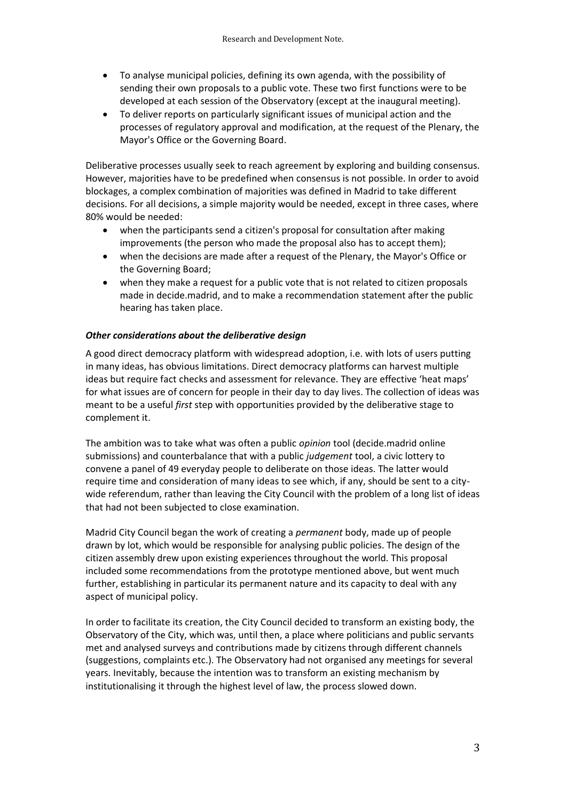- To analyse municipal policies, defining its own agenda, with the possibility of sending their own proposals to a public vote. These two first functions were to be developed at each session of the Observatory (except at the inaugural meeting).
- To deliver reports on particularly significant issues of municipal action and the processes of regulatory approval and modification, at the request of the Plenary, the Mayor's Office or the Governing Board.

Deliberative processes usually seek to reach agreement by exploring and building consensus. However, majorities have to be predefined when consensus is not possible. In order to avoid blockages, a complex combination of majorities was defined in Madrid to take different decisions. For all decisions, a simple majority would be needed, except in three cases, where 80% would be needed:

- when the participants send a citizen's proposal for consultation after making improvements (the person who made the proposal also has to accept them);
- when the decisions are made after a request of the Plenary, the Mayor's Office or the Governing Board;
- when they make a request for a public vote that is not related to citizen proposals made in decide.madrid, and to make a recommendation statement after the public hearing has taken place.

#### *Other considerations about the deliberative design*

A good direct democracy platform with widespread adoption, i.e. with lots of users putting in many ideas, has obvious limitations. Direct democracy platforms can harvest multiple ideas but require fact checks and assessment for relevance. They are effective 'heat maps' for what issues are of concern for people in their day to day lives. The collection of ideas was meant to be a useful *first* step with opportunities provided by the deliberative stage to complement it.

The ambition was to take what was often a public *opinion* tool (decide.madrid online submissions) and counterbalance that with a public *judgement* tool, a civic lottery to convene a panel of 49 everyday people to deliberate on those ideas. The latter would require time and consideration of many ideas to see which, if any, should be sent to a citywide referendum, rather than leaving the City Council with the problem of a long list of ideas that had not been subjected to close examination.

Madrid City Council began the work of creating a *permanent* body, made up of people drawn by lot, which would be responsible for analysing public policies. The design of the citizen assembly drew upon existing experiences throughout the world. This proposal included some recommendations from the prototype mentioned above, but went much further, establishing in particular its permanent nature and its capacity to deal with any aspect of municipal policy.

In order to facilitate its creation, the City Council decided to transform an existing body, the Observatory of the City, which was, until then, a place where politicians and public servants met and analysed surveys and contributions made by citizens through different channels (suggestions, complaints etc.). The Observatory had not organised any meetings for several years. Inevitably, because the intention was to transform an existing mechanism by institutionalising it through the highest level of law, the process slowed down.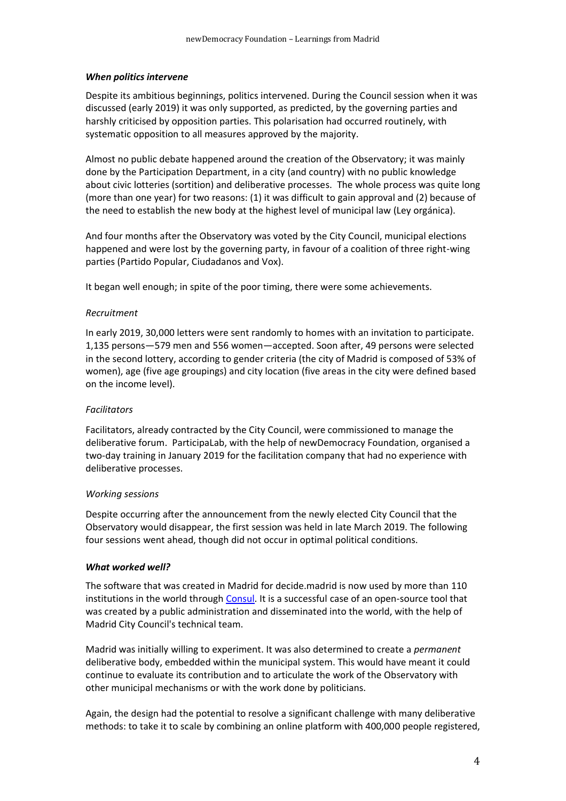#### *When politics intervene*

Despite its ambitious beginnings, politics intervened. During the Council session when it was discussed (early 2019) it was only supported, as predicted, by the governing parties and harshly criticised by opposition parties. This polarisation had occurred routinely, with systematic opposition to all measures approved by the majority.

Almost no public debate happened around the creation of the Observatory; it was mainly done by the Participation Department, in a city (and country) with no public knowledge about civic lotteries (sortition) and deliberative processes. The whole process was quite long (more than one year) for two reasons: (1) it was difficult to gain approval and (2) because of the need to establish the new body at the highest level of municipal law (Ley orgánica).

And four months after the Observatory was voted by the City Council, municipal elections happened and were lost by the governing party, in favour of a coalition of three right-wing parties (Partido Popular, Ciudadanos and Vox).

It began well enough; in spite of the poor timing, there were some achievements.

#### *Recruitment*

In early 2019, 30,000 letters were sent randomly to homes with an invitation to participate. 1,135 persons—579 men and 556 women—accepted. Soon after, 49 persons were selected in the second lottery, according to gender criteria (the city of Madrid is composed of 53% of women), age (five age groupings) and city location (five areas in the city were defined based on the income level).

#### *Facilitators*

Facilitators, already contracted by the City Council, were commissioned to manage the deliberative forum. ParticipaLab, with the help of newDemocracy Foundation, organised a two-day training in January 2019 for the facilitation company that had no experience with deliberative processes.

#### *Working sessions*

Despite occurring after the announcement from the newly elected City Council that the Observatory would disappear, the first session was held in late March 2019. The following four sessions went ahead, though did not occur in optimal political conditions.

#### *What worked well?*

The software that was created in Madrid for decide.madrid is now used by more than 110 institutions in the world throug[h Consul.](http://consulproject.org/en) It is a successful case of an open-source tool that was created by a public administration and disseminated into the world, with the help of Madrid City Council's technical team.

Madrid was initially willing to experiment. It was also determined to create a *permanent*  deliberative body, embedded within the municipal system. This would have meant it could continue to evaluate its contribution and to articulate the work of the Observatory with other municipal mechanisms or with the work done by politicians.

Again, the design had the potential to resolve a significant challenge with many deliberative methods: to take it to scale by combining an online platform with 400,000 people registered,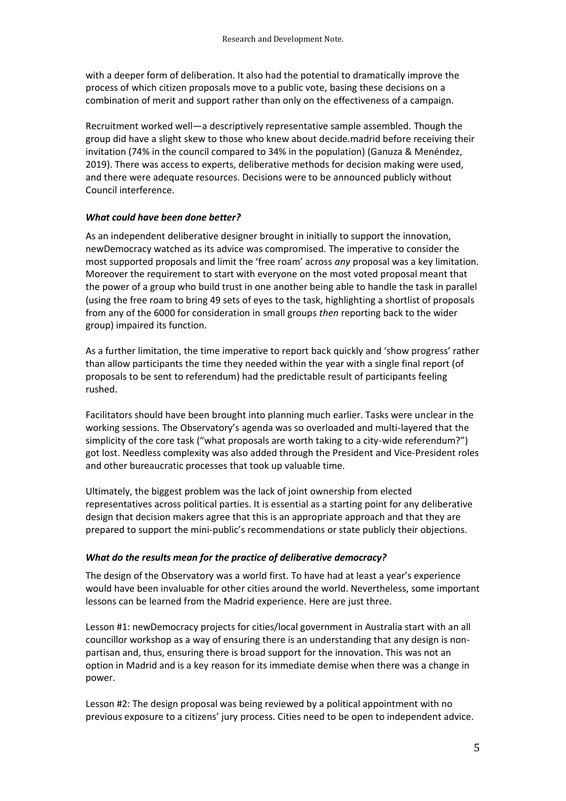with a deeper form of deliberation. It also had the potential to dramatically improve the process of which citizen proposals move to a public vote, basing these decisions on a combination of merit and support rather than only on the effectiveness of a campaign.

Recruitment worked well—a descriptively representative sample assembled. Though the group did have a slight skew to those who knew about decide.madrid before receiving their invitation (74% in the council compared to 34% in the population) (Ganuza & Menéndez, 2019). There was access to experts, deliberative methods for decision making were used, and there were adequate resources. Decisions were to be announced publicly without Council interference.

#### *What could have been done better?*

As an independent deliberative designer brought in initially to support the innovation, newDemocracy watched as its advice was compromised. The imperative to consider the most supported proposals and limit the 'free roam' across *any* proposal was a key limitation. Moreover the requirement to start with everyone on the most voted proposal meant that the power of a group who build trust in one another being able to handle the task in parallel (using the free roam to bring 49 sets of eyes to the task, highlighting a shortlist of proposals from any of the 6000 for consideration in small groups *then* reporting back to the wider group) impaired its function.

As a further limitation, the time imperative to report back quickly and 'show progress' rather than allow participants the time they needed within the year with a single final report (of proposals to be sent to referendum) had the predictable result of participants feeling rushed.

Facilitators should have been brought into planning much earlier. Tasks were unclear in the working sessions. The Observatory's agenda was so overloaded and multi-layered that the simplicity of the core task ("what proposals are worth taking to a city-wide referendum?") got lost. Needless complexity was also added through the President and Vice-President roles and other bureaucratic processes that took up valuable time.

Ultimately, the biggest problem was the lack of joint ownership from elected representatives across political parties. It is essential as a starting point for any deliberative design that decision makers agree that this is an appropriate approach and that they are prepared to support the mini-public's recommendations or state publicly their objections.

#### *What do the results mean for the practice of deliberative democracy?*

The design of the Observatory was a world first. To have had at least a year's experience would have been invaluable for other cities around the world. Nevertheless, some important lessons can be learned from the Madrid experience. Here are just three.

Lesson #1: newDemocracy projects for cities/local government in Australia start with an all councillor workshop as a way of ensuring there is an understanding that any design is nonpartisan and, thus, ensuring there is broad support for the innovation. This was not an option in Madrid and is a key reason for its immediate demise when there was a change in power.

Lesson #2: The design proposal was being reviewed by a political appointment with no previous exposure to a citizens' jury process. Cities need to be open to independent advice.